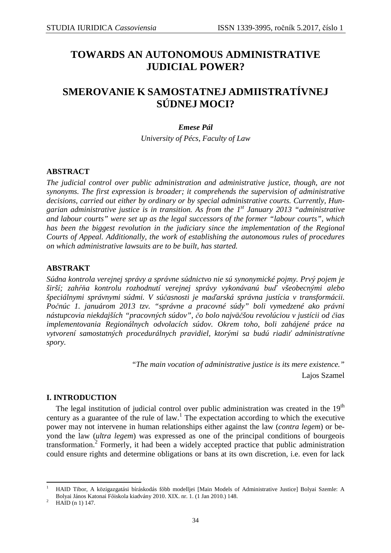# **TOWARDS AN AUTONOMOUS ADMINISTRATIVE JUDICIAL POWER?**

# **SMEROVANIE K SAMOSTATNEJ ADMIISTRATÍVNEJ SÚDNEJ MOCI?**

# *Emese Pál*

*University of Pécs, Faculty of Law* 

# **ABSTRACT**

*The judicial control over public administration and administrative justice, though, are not synonyms. The first expression is broader; it comprehends the supervision of administrative decisions, carried out either by ordinary or by special administrative courts. Currently, Hungarian administrative justice is in transition. As from the 1st January 2013 "administrative and labour courts" were set up as the legal successors of the former "labour courts", which has been the biggest revolution in the judiciary since the implementation of the Regional Courts of Appeal. Additionally, the work of establishing the autonomous rules of procedures on which administrative lawsuits are to be built, has started.* 

## **ABSTRAKT**

*Súdna kontrola verejnej správy a správne súdnictvo nie sú synonymické pojmy. Prvý pojem je širší; zahŕňa kontrolu rozhodnutí verejnej správy vykonávanú buď všeobecnými alebo špeciálnymi správnymi súdmi. V súčasnosti je maďarská správna justícia v transformácii. Počnúc 1. januárom 2013 tzv. "správne a pracovné súdy" boli vymedzené ako právni nástupcovia niekdajších "pracovných súdov", čo bolo najväčšou revolúciou v justícii od čias implementovania Regionálnych odvolacích súdov. Okrem toho, boli zahájené práce na vytvorení samostatných procedurálnych pravidiel, ktorými sa budú riadiť administratívne spory.* 

> *"The main vocation of administrative justice is its mere existence."*  Lajos Szamel

## **I. INTRODUCTION**

The legal institution of judicial control over public administration was created in the  $19<sup>th</sup>$ century as a guarantee of the rule of law.<sup>1</sup> The expectation according to which the executive power may not intervene in human relationships either against the law (*contra legem*) or beyond the law (*ultra legem*) was expressed as one of the principal conditions of bourgeois transformation.<sup>2</sup> Formerly, it had been a widely accepted practice that public administration could ensure rights and determine obligations or bans at its own discretion, i.e. even for lack

 $\overline{a}$ 1 HAID Tibor, A közigazgatási bíráskodás főbb modelljei [Main Models of Administrative Justice] Bolyai Szemle: A Bolyai János Katonai Főiskola kiadvány 2010. XIX. nr. 1. (1 Jan 2010.) 148.

<sup>2</sup> HAID (n 1) 147.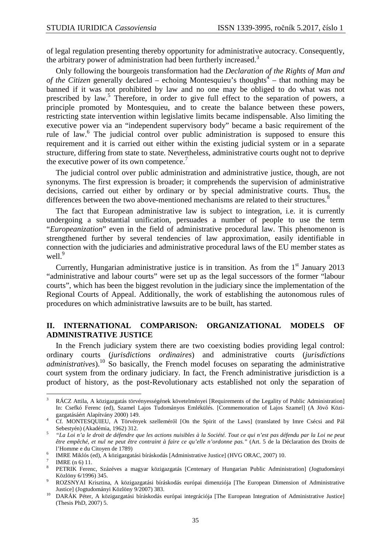of legal regulation presenting thereby opportunity for administrative autocracy. Consequently, the arbitrary power of administration had been furtherly increased.<sup>3</sup>

Only following the bourgeois transformation had the *Declaration of the Rights of Man and*  of the Citizen generally declared – echoing Montesquieu's thoughts<sup>4</sup> – that nothing may be banned if it was not prohibited by law and no one may be obliged to do what was not prescribed by law.<sup>5</sup> Therefore, in order to give full effect to the separation of powers, a principle promoted by Montesquieu, and to create the balance between these powers, restricting state intervention within legislative limits became indispensable. Also limiting the executive power via an "independent supervisory body" became a basic requirement of the rule of law.<sup>6</sup> The judicial control over public administration is supposed to ensure this requirement and it is carried out either within the existing judicial system or in a separate structure, differing from state to state. Nevertheless, administrative courts ought not to deprive the executive power of its own competence.<sup>7</sup>

The judicial control over public administration and administrative justice, though, are not synonyms. The first expression is broader; it comprehends the supervision of administrative decisions, carried out either by ordinary or by special administrative courts. Thus, the differences between the two above-mentioned mechanisms are related to their structures.<sup>8</sup>

The fact that European administrative law is subject to integration, i.e. it is currently undergoing a substantial unification, persuades a number of people to use the term "*Europeanization*" even in the field of administrative procedural law. This phenomenon is strengthened further by several tendencies of law approximation, easily identifiable in connection with the judiciaries and administrative procedural laws of the EU member states as well.<sup>9</sup>

Currently, Hungarian administrative justice is in transition. As from the  $1<sup>st</sup>$  January 2013 "administrative and labour courts" were set up as the legal successors of the former "labour courts", which has been the biggest revolution in the judiciary since the implementation of the Regional Courts of Appeal. Additionally, the work of establishing the autonomous rules of procedures on which administrative lawsuits are to be built, has started.

## **II. INTERNATIONAL COMPARISON: ORGANIZATIONAL MODELS OF ADMINISTRATIVE JUSTICE**

In the French judiciary system there are two coexisting bodies providing legal control: ordinary courts (*jurisdictions ordinaires*) and administrative courts (*jurisdictions administratives*).<sup>10</sup> So basically, the French model focuses on separating the administrative court system from the ordinary judiciary. In fact, the French administrative jurisdiction is a product of history, as the post-Revolutionary acts established not only the separation of

<sup>&</sup>lt;sup>2</sup><br>3 RÁCZ Attila, A közigazgatás törvényességének követelményei [Requirements of the Legality of Public Administration] In: Csefkó Ferenc (ed), Szamel Lajos Tudományos Emlékülés. [Commemoration of Lajos Szamel] (A Jövő Közigazgatásáért Alapítvány 2000) 149.

<sup>4</sup> Cf. MONTESQUIEU, A Törvények szelleméről [On the Spirit of the Laws] (translated by Imre Csécsi and Pál Sebestyén) (Akadémia, 1962) 312. 5

*"La Loi n'a le droit de défendre que les actions nuisibles à la Société. Tout ce qui n'est pas défendu par la Loi ne peut être empêché, et nul ne peut être contraint à faire ce qu'elle n'ordonne pas."* (Art. 5 de la Déclaration des Droits de l'Homme e du Citoyen de 1789)

<sup>6</sup> IMRE Miklós (ed), A közigazgatási bíráskodás [Administrative Justice] (HVG ORAC, 2007) 10.

<sup>7</sup> IMRE (n 6) 11.

<sup>8</sup> PETRIK Ferenc, Százéves a magyar közigazgatás [Centenary of Hungarian Public Administration] (Jogtudományi Közlöny 6/1996) 345.

<sup>9</sup> ROZSNYAI Krisztina, A közigazgatási bíráskodás európai dimenziója [The European Dimension of Administrative Justice] (Jogtudományi Közlöny 9/2007) 383.

<sup>10</sup> DARÁK Péter, A közigazgatási bíráskodás európai integrációja [The European Integration of Administrative Justice] (Thesis PhD, 2007) 5.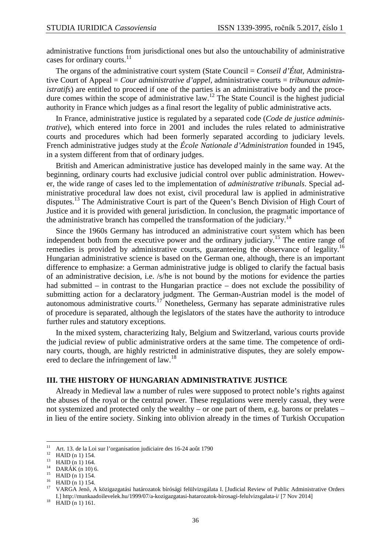administrative functions from jurisdictional ones but also the untouchability of administrative cases for ordinary courts.<sup>11</sup>

The organs of the administrative court system (State Council = *Conseil d'État*, Administrative Court of Appeal = *Cour administrative d'appel*, administrative courts = *tribunaux administratifs*) are entitled to proceed if one of the parties is an administrative body and the procedure comes within the scope of administrative law.<sup>12</sup> The State Council is the highest judicial authority in France which judges as a final resort the legality of public administrative acts.

In France, administrative justice is regulated by a separated code (*Code de justice administrative*), which entered into force in 2001 and includes the rules related to administrative courts and procedures which had been formerly separated according to judiciary levels. French administrative judges study at the *École Nationale d'Administration* founded in 1945, in a system different from that of ordinary judges.

British and American administrative justice has developed mainly in the same way. At the beginning, ordinary courts had exclusive judicial control over public administration. However, the wide range of cases led to the implementation of *administrative tribunals*. Special administrative procedural law does not exist, civil procedural law is applied in administrative disputes.<sup>13</sup> The Administrative Court is part of the Queen's Bench Division of High Court of Justice and it is provided with general jurisdiction. In conclusion, the pragmatic importance of the administrative branch has compelled the transformation of the judiciary.<sup>14</sup>

Since the 1960s Germany has introduced an administrative court system which has been independent both from the executive power and the ordinary judiciary.<sup>15</sup> The entire range of remedies is provided by administrative courts, guaranteeing the observance of legality.<sup>16</sup> Hungarian administrative science is based on the German one, although, there is an important difference to emphasize: a German administrative judge is obliged to clarify the factual basis of an administrative decision, i.e. /s/he is not bound by the motions for evidence the parties had submitted – in contrast to the Hungarian practice – does not exclude the possibility of submitting action for a declaratory judgment. The German-Austrian model is the model of autonomous administrative courts.<sup>17</sup> Nonetheless, Germany has separate administrative rules of procedure is separated, although the legislators of the states have the authority to introduce further rules and statutory exceptions.

In the mixed system, characterizing Italy, Belgium and Switzerland, various courts provide the judicial review of public administrative orders at the same time. The competence of ordinary courts, though, are highly restricted in administrative disputes, they are solely empowered to declare the infringement of law.<sup>18</sup>

#### **III. THE HISTORY OF HUNGARIAN ADMINISTRATIVE JUSTICE**

Already in Medieval law a number of rules were supposed to protect noble's rights against the abuses of the royal or the central power. These regulations were merely casual, they were not systemized and protected only the wealthy – or one part of them, e.g. barons or prelates – in lieu of the entire society. Sinking into oblivion already in the times of Turkish Occupation

<sup>11</sup> <sup>11</sup> Art. 13. de la Loi sur l'organisation judiciaire des 16-24 août 1790<br><sup>12</sup> MAID (e.1) 154

<sup>&</sup>lt;sup>12</sup> HAID (n 1) 154.

<sup>&</sup>lt;sup>13</sup> HAID (n 1) 164.

 $DARÁK (n 10) 6.$ 

 $15$  HAID (n 1) 154.

<sup>16</sup> HAID (n 1) 154.

<sup>17</sup> VARGA Jenő, A közigazgatási határozatok bírósági felülvizsgálata I. [Judicial Review of Public Administrative Orders I.] http://munkaadoilevelek.hu/1999/07/a-kozigazgatasi-hatarozatok-birosagi-felulvizsgalata-i/ [7 Nov 2014]

 $18$  HAID (n 1) 161.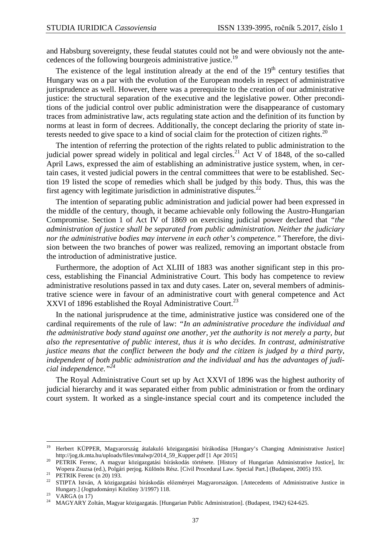and Habsburg sovereignty, these feudal statutes could not be and were obviously not the antecedences of the following bourgeois administrative justice.<sup>19</sup>

The existence of the legal institution already at the end of the  $19<sup>th</sup>$  century testifies that Hungary was on a par with the evolution of the European models in respect of administrative jurisprudence as well. However, there was a prerequisite to the creation of our administrative justice: the structural separation of the executive and the legislative power. Other preconditions of the judicial control over public administration were the disappearance of customary traces from administrative law, acts regulating state action and the definition of its function by norms at least in form of decrees. Additionally, the concept declaring the priority of state interests needed to give space to a kind of social claim for the protection of citizen rights.<sup>20</sup>

The intention of referring the protection of the rights related to public administration to the judicial power spread widely in political and legal circles.<sup>21</sup> Act V of 1848, of the so-called April Laws, expressed the aim of establishing an administrative justice system, when, in certain cases, it vested judicial powers in the central committees that were to be established. Section 19 listed the scope of remedies which shall be judged by this body. Thus, this was the first agency with legitimate jurisdiction in administrative disputes.<sup>22</sup>

The intention of separating public administration and judicial power had been expressed in the middle of the century, though, it became achievable only following the Austro-Hungarian Compromise. Section 1 of Act IV of 1869 on exercising judicial power declared that *"the administration of justice shall be separated from public administration. Neither the judiciary nor the administrative bodies may intervene in each other's competence."* Therefore, the division between the two branches of power was realized, removing an important obstacle from the introduction of administrative justice.

Furthermore, the adoption of Act XLIII of 1883 was another significant step in this process, establishing the Financial Administrative Court. This body has competence to review administrative resolutions passed in tax and duty cases. Later on, several members of administrative science were in favour of an administrative court with general competence and Act XXVI of 1896 established the Royal Administrative Court.<sup>23</sup>

In the national jurisprudence at the time, administrative justice was considered one of the cardinal requirements of the rule of law: *"In an administrative procedure the individual and the administrative body stand against one another, yet the authority is not merely a party, but also the representative of public interest, thus it is who decides. In contrast, administrative justice means that the conflict between the body and the citizen is judged by a third party, independent of both public administration and the individual and has the advantages of judicial independence."<sup>24</sup>*

The Royal Administrative Court set up by Act XXVI of 1896 was the highest authority of judicial hierarchy and it was separated either from public administration or from the ordinary court system. It worked as a single-instance special court and its competence included the

 $\overline{a}$ 

<sup>&</sup>lt;sup>19</sup> Herbert KÜPPER, Magyarország átalakuló közigazgatási bírákodása [Hungary's Changing Administrative Justice] http://jog.tk.mta.hu/uploads/files/mtalwp/2014\_59\_Kupper.pdf [1 Apr 2015]

<sup>&</sup>lt;sup>20</sup> PETRIK Ferenc, A magyar közigazgatási bíráskodás története. [History of Hungarian Administrative Justice], In: Wopera Zsuzsa (ed.), Polgári perjog. Különös Rész. [Civil Procedural Law. Special Part.] (Budapest, 2005) 193.

<sup>&</sup>lt;sup>21</sup> PETRIK Ferenc (n 20) 193.

<sup>&</sup>lt;sup>22</sup> STIPTA István, A közigazgatási bíráskodás előzményei Magyarországon. [Antecedents of Administrative Justice in Hungary.] (Jogtudományi Közlöny 3/1997) 118.

 $^{23}$  VARGA (n 17)

<sup>24</sup> MAGYARY Zoltán, Magyar közigazgatás. [Hungarian Public Administration]. (Budapest, 1942) 624-625.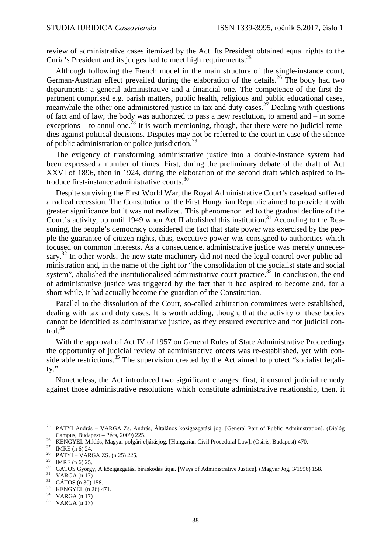review of administrative cases itemized by the Act. Its President obtained equal rights to the Curia's President and its judges had to meet high requirements.<sup>25</sup>

Although following the French model in the main structure of the single-instance court, German-Austrian effect prevailed during the elaboration of the details.<sup>26</sup> The body had two departments: a general administrative and a financial one. The competence of the first department comprised e.g. parish matters, public health, religious and public educational cases, meanwhile the other one administered justice in tax and duty cases.<sup>27</sup> Dealing with questions of fact and of law, the body was authorized to pass a new resolution, to amend and – in some exceptions – to annul one.<sup>28</sup> It is worth mentioning, though, that there were no judicial remedies against political decisions. Disputes may not be referred to the court in case of the silence of public administration or police jurisdiction.<sup>29</sup>

The exigency of transforming administrative justice into a double-instance system had been expressed a number of times. First, during the preliminary debate of the draft of Act XXVI of 1896, then in 1924, during the elaboration of the second draft which aspired to introduce first-instance administrative courts.<sup>30</sup>

Despite surviving the First World War, the Royal Administrative Court's caseload suffered a radical recession. The Constitution of the First Hungarian Republic aimed to provide it with greater significance but it was not realized. This phenomenon led to the gradual decline of the Court's activity, up until 1949 when Act II abolished this institution.<sup>31</sup> According to the Reasoning, the people's democracy considered the fact that state power was exercised by the people the guarantee of citizen rights, thus, executive power was consigned to authorities which focused on common interests. As a consequence, administrative justice was merely unnecessary.<sup>32</sup> In other words, the new state machinery did not need the legal control over public administration and, in the name of the fight for "the consolidation of the socialist state and social system", abolished the institutionalised administrative court practice.<sup>33</sup> In conclusion, the end of administrative justice was triggered by the fact that it had aspired to become and, for a short while, it had actually become the guardian of the Constitution.

Parallel to the dissolution of the Court, so-called arbitration committees were established, dealing with tax and duty cases. It is worth adding, though, that the activity of these bodies cannot be identified as administrative justice, as they ensured executive and not judicial control. $34$ 

With the approval of Act IV of 1957 on General Rules of State Administrative Proceedings the opportunity of judicial review of administrative orders was re-established, yet with considerable restrictions.<sup>35</sup> The supervision created by the Act aimed to protect "socialist legality."

Nonetheless, the Act introduced two significant changes: first, it ensured judicial remedy against those administrative resolutions which constitute administrative relationship, then, it

<sup>25</sup> <sup>25</sup> PATYI András – VARGA Zs. András, Általános közigazgatási jog. [General Part of Public Administration]. (Dialóg Campus, Budapest – Pécs, 2009) 225.

<sup>&</sup>lt;sup>26</sup> KENGYEL Miklós, Magyar polgári eljárásjog. [Hungarian Civil Procedural Law]. (Osiris, Budapest) 470.

<sup>&</sup>lt;sup>27</sup> IMRE (n 6) 24.

<sup>&</sup>lt;sup>28</sup> PATYI – VARGA ZS. (n 25) 225.

<sup>&</sup>lt;sup>29</sup> IMRE (n 6) 25.

<sup>&</sup>lt;sup>30</sup> GÁTOS György, A közigazgatási bíráskodás útjai. [Ways of Administrative Justice]. (Magyar Jog, 3/1996) 158.

VARGA (n 17)

 $^{32}$  GÁTOS (n 30) 158.

 $\frac{33}{34}$  KENGYEL (n 26) 471.

 $VARGA (n 17)$ 

 $35$  VARGA (n 17)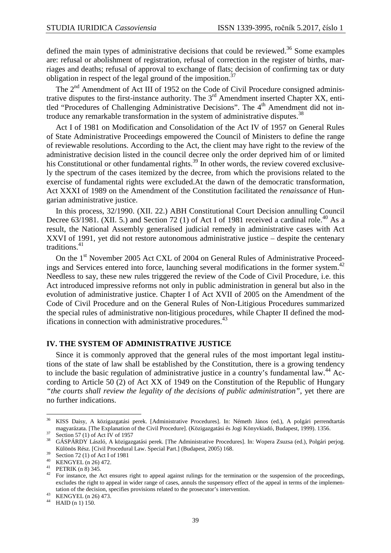defined the main types of administrative decisions that could be reviewed.<sup>36</sup> Some examples are: refusal or abolishment of registration, refusal of correction in the register of births, marriages and deaths; refusal of approval to exchange of flats; decision of confirming tax or duty obligation in respect of the legal ground of the imposition.<sup>37</sup>

The  $2<sup>nd</sup>$  Amendment of Act III of 1952 on the Code of Civil Procedure consigned administrative disputes to the first-instance authority. The  $3<sup>rd</sup>$  Amendment inserted Chapter XX, entitled "Procedures of Challenging Administrative Decisions". The  $4<sup>th</sup>$  Amendment did not introduce any remarkable transformation in the system of administrative disputes.<sup>38</sup>

Act I of 1981 on Modification and Consolidation of the Act IV of 1957 on General Rules of State Administrative Proceedings empowered the Council of Ministers to define the range of reviewable resolutions. According to the Act, the client may have right to the review of the administrative decision listed in the council decree only the order deprived him of or limited his Constitutional or other fundamental rights.<sup>39</sup> In other words, the review covered exclusively the spectrum of the cases itemized by the decree, from which the provisions related to the exercise of fundamental rights were excluded.At the dawn of the democratic transformation, Act XXXI of 1989 on the Amendment of the Constitution facilitated the *renaissance* of Hungarian administrative justice.

In this process, 32/1990. (XII. 22.) ABH Constitutional Court Decision annulling Council Decree 63/1981. (XII. 5.) and Section 72 (1) of Act I of 1981 received a cardinal role.<sup>40</sup> As a result, the National Assembly generalised judicial remedy in administrative cases with Act XXVI of 1991, yet did not restore autonomous administrative justice – despite the centenary traditions.<sup>41</sup>

On the 1<sup>st</sup> November 2005 Act CXL of 2004 on General Rules of Administrative Proceedings and Services entered into force, launching several modifications in the former system.<sup>42</sup> Needless to say, these new rules triggered the review of the Code of Civil Procedure, i.e. this Act introduced impressive reforms not only in public administration in general but also in the evolution of administrative justice. Chapter I of Act XVII of 2005 on the Amendment of the Code of Civil Procedure and on the General Rules of Non-Litigious Procedures summarized the special rules of administrative non-litigious procedures, while Chapter II defined the modifications in connection with administrative procedures.<sup>43</sup>

#### **IV. THE SYSTEM OF ADMINISTRATIVE JUSTICE**

Since it is commonly approved that the general rules of the most important legal institutions of the state of law shall be established by the Constitution, there is a growing tendency to include the basic regulation of administrative justice in a country's fundamental law.<sup>44</sup> According to Article 50 (2) of Act XX of 1949 on the Constitution of the Republic of Hungary *"the courts shall review the legality of the decisions of public administration"*, yet there are no further indications.

43 KENGYEL (n 26) 473.

<sup>36</sup> <sup>36</sup> KISS Daisy, A közigazgatási perek. [Administrative Procedures]. In: Németh János (ed.), A polgári perrendtartás magyarázata. [The Explanation of the Civil Procedure]. (Közigazgatási és Jogi Könyvkiadó, Budapest, 1999). 1356.

 $\frac{37}{38}$  Section 57 (1) of Act IV of 1957

<sup>38</sup> GÁSPÁRDY László, A közigazgatási perek. [The Administrative Procedures]. In: Wopera Zsuzsa (ed.), Polgári perjog. Különös Rész. [Civil Procedural Law. Special Part.] (Budapest, 2005) 168.

 $39$  Section 72 (1) of Act I of 1981

<sup>&</sup>lt;sup>40</sup> KENGYEL (n 26) 472.

<sup>&</sup>lt;sup>41</sup> PETRIK (n 8) 345.

<sup>42</sup> For instance, the Act ensures right to appeal against rulings for the termination or the suspension of the proceedings, excludes the right to appeal in wider range of cases, annuls the suspensory effect of the appeal in terms of the implementation of the decision, specifies provisions related to the prosecutor's intervention.

<sup>44</sup> HAID (n 1) 150.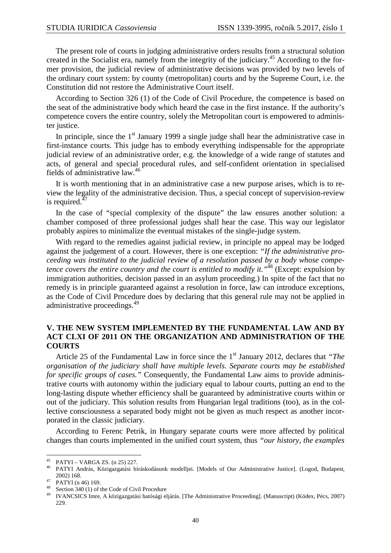The present role of courts in judging administrative orders results from a structural solution created in the Socialist era, namely from the integrity of the judiciary.<sup>45</sup> According to the former provision, the judicial review of administrative decisions was provided by two levels of the ordinary court system: by county (metropolitan) courts and by the Supreme Court, i.e. the Constitution did not restore the Administrative Court itself.

According to Section 326 (1) of the Code of Civil Procedure, the competence is based on the seat of the administrative body which heard the case in the first instance. If the authority's competence covers the entire country, solely the Metropolitan court is empowered to administer justice.

In principle, since the  $1<sup>st</sup>$  January 1999 a single judge shall hear the administrative case in first-instance courts. This judge has to embody everything indispensable for the appropriate judicial review of an administrative order, e.g. the knowledge of a wide range of statutes and acts, of general and special procedural rules, and self-confident orientation in specialised fields of administrative law.<sup>46</sup>

It is worth mentioning that in an administrative case a new purpose arises, which is to review the legality of the administrative decision. Thus, a special concept of supervision-review is required. $47$ 

In the case of "special complexity of the dispute" the law ensures another solution: a chamber composed of three professional judges shall hear the case. This way our legislator probably aspires to minimalize the eventual mistakes of the single-judge system.

With regard to the remedies against judicial review, in principle no appeal may be lodged against the judgement of a court. However, there is one exception: *"If the administrative proceeding was instituted to the judicial review of a resolution passed by a body whose competence covers the entire country and the court is entitled to modify it."*<sup>48</sup> (Except: expulsion by immigration authorities, decision passed in an asylum proceeding.) In spite of the fact that no remedy is in principle guaranteed against a resolution in force, law can introduce exceptions, as the Code of Civil Procedure does by declaring that this general rule may not be applied in administrative proceedings.<sup>49</sup>

## **V. THE NEW SYSTEM IMPLEMENTED BY THE FUNDAMENTAL LAW AND BY ACT CLXI OF 2011 ON THE ORGANIZATION AND ADMINISTRATION OF THE COURTS**

Article 25 of the Fundamental Law in force since the 1<sup>st</sup> January 2012, declares that *"The organisation of the judiciary shall have multiple levels. Separate courts may be established for specific groups of cases."* Consequently, the Fundamental Law aims to provide administrative courts with autonomy within the judiciary equal to labour courts, putting an end to the long-lasting dispute whether efficiency shall be guaranteed by administrative courts within or out of the judiciary. This solution results from Hungarian legal traditions (too), as in the collective consciousness a separated body might not be given as much respect as another incorporated in the classic judiciary.

According to Ferenc Petrik, in Hungary separate courts were more affected by political changes than courts implemented in the unified court system, thus *"our history, the examples* 

<sup>45</sup>  $^{45}$  PATYI – VARGA ZS. (n 25) 227.

<sup>46</sup> PATYI András, Közigazgatási bíráskodásunk modelljei. [Models of Our Administrative Justice]. (Logod, Budapest, 2002) 168.

<sup>47</sup> PATYI (n 46) 169.

<sup>&</sup>lt;sup>48</sup> Section 340 (1) of the Code of Civil Procedure

<sup>49</sup> IVANCSICS Imre, A közigazgatási hatósági eljárás. [The Administrative Proceeding]. (Manuscript) (Kódex, Pécs, 2007) 229.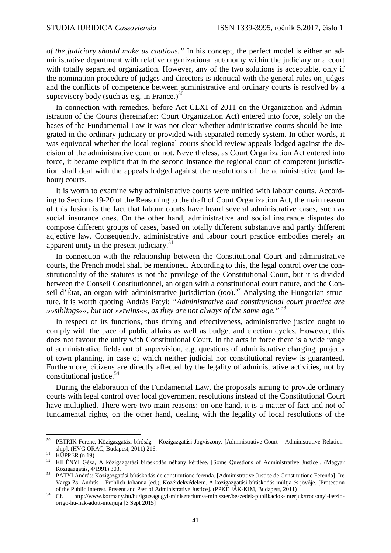*of the judiciary should make us cautious."* In his concept, the perfect model is either an administrative department with relative organizational autonomy within the judiciary or a court with totally separated organization. However, any of the two solutions is acceptable, only if the nomination procedure of judges and directors is identical with the general rules on judges and the conflicts of competence between administrative and ordinary courts is resolved by a supervisory body (such as e.g. in France.) $50$ 

In connection with remedies, before Act CLXI of 2011 on the Organization and Administration of the Courts (hereinafter: Court Organization Act) entered into force, solely on the bases of the Fundamental Law it was not clear whether administrative courts should be integrated in the ordinary judiciary or provided with separated remedy system. In other words, it was equivocal whether the local regional courts should review appeals lodged against the decision of the administrative court or not. Nevertheless, as Court Organization Act entered into force, it became explicit that in the second instance the regional court of competent jurisdiction shall deal with the appeals lodged against the resolutions of the administrative (and labour) courts.

It is worth to examine why administrative courts were unified with labour courts. According to Sections 19-20 of the Reasoning to the draft of Court Organization Act, the main reason of this fusion is the fact that labour courts have heard several administrative cases, such as social insurance ones. On the other hand, administrative and social insurance disputes do compose different groups of cases, based on totally different substantive and partly different adjective law. Consequently, administrative and labour court practice embodies merely an apparent unity in the present judiciary. $51$ 

In connection with the relationship between the Constitutional Court and administrative courts, the French model shall be mentioned. According to this, the legal control over the constitutionality of the statutes is not the privilege of the Constitutional Court, but it is divided between the Conseil Constitutionnel, an organ with a constitutional court nature, and the Conseil d'État, an organ with administrative jurisdiction (too).<sup>52</sup> Analysing the Hungarian structure, it is worth quoting András Patyi: *"Administrative and constitutional court practice are »»siblings««, but not »»twins««, as they are not always of the same age."*<sup>53</sup>

In respect of its functions, thus timing and effectiveness, administrative justice ought to comply with the pace of public affairs as well as budget and election cycles. However, this does not favour the unity with Constitutional Court. In the acts in force there is a wide range of administrative fields out of supervision, e.g. questions of administrative charging, projects of town planning, in case of which neither judicial nor constitutional review is guaranteed. Furthermore, citizens are directly affected by the legality of administrative activities, not by constitutional justice.<sup>54</sup>

During the elaboration of the Fundamental Law, the proposals aiming to provide ordinary courts with legal control over local government resolutions instead of the Constitutional Court have multiplied. There were two main reasons: on one hand, it is a matter of fact and not of fundamental rights, on the other hand, dealing with the legality of local resolutions of the

<sup>50</sup> <sup>50</sup> PETRIK Ferenc, Közigazgatási bíróság – Közigazgatási Jogviszony. [Administrative Court – Administrative Relationship]. (HVG ORAC, Budapest, 2011) 216.

 $51$  KÜPPER (n 19)

<sup>52</sup> KILÉNYI Géza, A közigazgatási bíráskodás néhány kérdése. [Some Questions of Administrative Justice]. (Magyar Közigazgatás, 4/1991) 303.

<sup>53</sup> PATYI András: Közigazgatási bíráskodás de constitutione ferenda. [Administrative Justice de Constitutione Ferenda]. In: Varga Zs. András – Fröhlich Johanna (ed.), Közérdekvédelem. A közigazgatási bíráskodás múltja és jövője. [Protection of the Public Interest. Present and Past of Administrative Justice]. (PPKE JÁK-KIM, Budapest, 2011)

<sup>54</sup> Cf. http://www.kormany.hu/hu/igazsagugyi-miniszterium/a-miniszter/beszedek-publikaciok-interjuk/trocsanyi-laszloorigo-hu-nak-adott-interjuja [3 Sept 2015]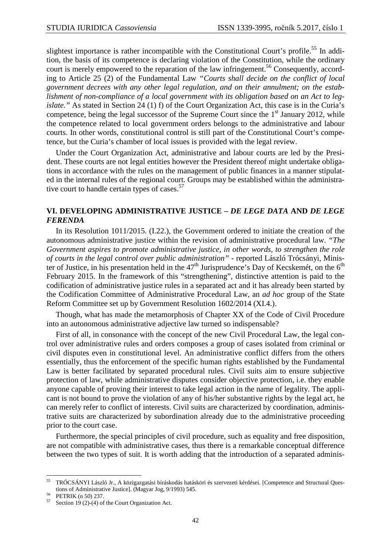slightest importance is rather incompatible with the Constitutional Court's profile.<sup>55</sup> In addition, the basis of its competence is declaring violation of the Constitution, while the ordinary court is merely empowered to the reparation of the law infringement.<sup>56</sup> Consequently, according to Article 25 (2) of the Fundamental Law *"Courts shall decide on the conflict of local government decrees with any other legal regulation, and on their annulment; on the establishment of non-compliance of a local government with its obligation based on an Act to legislate.*" As stated in Section 24 (1) f) of the Court Organization Act, this case is in the Curia's competence, being the legal successor of the Supreme Court since the  $1<sup>st</sup>$  January 2012, while the competence related to local government orders belongs to the administrative and labour courts. In other words, constitutional control is still part of the Constitutional Court's competence, but the Curia's chamber of local issues is provided with the legal review.

Under the Court Organization Act, administrative and labour courts are led by the President. These courts are not legal entities however the President thereof might undertake obligations in accordance with the rules on the management of public finances in a manner stipulated in the internal rules of the regional court. Groups may be established within the administrative court to handle certain types of cases. $57$ 

## **VI. DEVELOPING ADMINISTRATIVE JUSTICE –** *DE LEGE DATA* **AND** *DE LEGE FERENDA*

In its Resolution 1011/2015. (I.22.), the Government ordered to initiate the creation of the autonomous administrative justice within the revision of administrative procedural law. *"The Government aspires to promote administrative justice, in other words, to strengthen the role of courts in the legal control over public administration"* - reported László Trócsányi, Minister of Justice, in his presentation held in the  $47<sup>th</sup>$  Jurisprudence's Day of Kecskemét, on the  $6<sup>th</sup>$ February 2015. In the framework of this "strengthening", distinctive attention is paid to the codification of administrative justice rules in a separated act and it has already been started by the Codification Committee of Administrative Procedural Law, an *ad hoc* group of the State Reform Committee set up by Government Resolution 1602/2014 (XI.4.).

Though, what has made the metamorphosis of Chapter XX of the Code of Civil Procedure into an autonomous administrative adjective law turned so indispensable?

First of all, in consonance with the concept of the new Civil Procedural Law, the legal control over administrative rules and orders composes a group of cases isolated from criminal or civil disputes even in constitutional level. An administrative conflict differs from the others essentially, thus the enforcement of the specific human rights established by the Fundamental Law is better facilitated by separated procedural rules. Civil suits aim to ensure subjective protection of law, while administrative disputes consider objective protection, i.e. they enable anyone capable of proving their interest to take legal action in the name of legality. The applicant is not bound to prove the violation of any of his/her substantive rights by the legal act, he can merely refer to conflict of interests. Civil suits are characterized by coordination, administrative suits are characterized by subordination already due to the administrative proceeding prior to the court case.

Furthermore, the special principles of civil procedure, such as equality and free disposition, are not compatible with administrative cases, thus there is a remarkable conceptual difference between the two types of suit. It is worth adding that the introduction of a separated adminis-

 $\overline{a}$ 

<sup>55</sup> TRÓCSÁNYI László Jr., A közigazgatási bíráskodás hatásköri és szervezeti kérdései. [Competence and Structural Questions of Administrative Justice]. (Magyar Jog, 9/1993) 545.

PETRIK (n 50) 237.

Section 19 (2)-(4) of the Court Organization Act.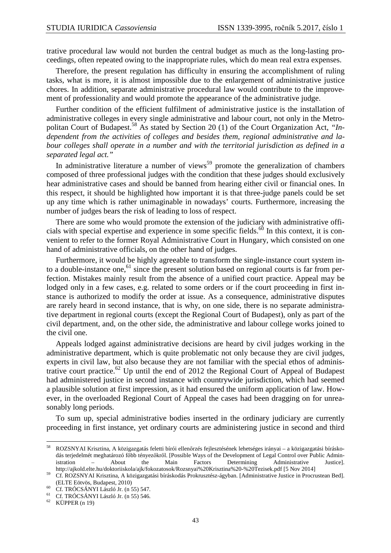trative procedural law would not burden the central budget as much as the long-lasting proceedings, often repeated owing to the inappropriate rules, which do mean real extra expenses.

Therefore, the present regulation has difficulty in ensuring the accomplishment of ruling tasks, what is more, it is almost impossible due to the enlargement of administrative justice chores. In addition, separate administrative procedural law would contribute to the improvement of professionality and would promote the appearance of the administrative judge.

Further condition of the efficient fulfilment of administrative justice is the installation of administrative colleges in every single administrative and labour court, not only in the Metropolitan Court of Budapest.<sup>58</sup> As stated by Section 20 (1) of the Court Organization Act, *"Independent from the activities of colleges and besides them, regional administrative and labour colleges shall operate in a number and with the territorial jurisdiction as defined in a separated legal act."*

In administrative literature a number of views<sup>59</sup> promote the generalization of chambers composed of three professional judges with the condition that these judges should exclusively hear administrative cases and should be banned from hearing either civil or financial ones. In this respect, it should be highlighted how important it is that three-judge panels could be set up any time which is rather unimaginable in nowadays' courts. Furthermore, increasing the number of judges bears the risk of leading to loss of respect.

There are some who would promote the extension of the judiciary with administrative officials with special expertise and experience in some specific fields.<sup>60</sup> In this context, it is convenient to refer to the former Royal Administrative Court in Hungary, which consisted on one hand of administrative officials, on the other hand of judges.

Furthermore, it would be highly agreeable to transform the single-instance court system into a double-instance one, $61$  since the present solution based on regional courts is far from perfection. Mistakes mainly result from the absence of a unified court practice. Appeal may be lodged only in a few cases, e.g. related to some orders or if the court proceeding in first instance is authorized to modify the order at issue. As a consequence, administrative disputes are rarely heard in second instance, that is why, on one side, there is no separate administrative department in regional courts (except the Regional Court of Budapest), only as part of the civil department, and, on the other side, the administrative and labour college works joined to the civil one.

Appeals lodged against administrative decisions are heard by civil judges working in the administrative department, which is quite problematic not only because they are civil judges, experts in civil law, but also because they are not familiar with the special ethos of administrative court practice.<sup>62</sup> Up until the end of 2012 the Regional Court of Appeal of Budapest had administered justice in second instance with countrywide jurisdiction, which had seemed a plausible solution at first impression, as it had ensured the uniform application of law. However, in the overloaded Regional Court of Appeal the cases had been dragging on for unreasonably long periods.

To sum up, special administrative bodies inserted in the ordinary judiciary are currently proceeding in first instance, yet ordinary courts are administering justice in second and third

 $\overline{a}$ 

<sup>58</sup> ROZSNYAI Krisztina, A közigazgatás feletti bírói ellenőrzés fejlesztésének lehetséges irányai – a közigazgatási bíráskodás terjedelmét meghatározó főbb tényezőkről. [Possible Ways of the Development of Legal Control over Public Administration – About the Main Factors Determining Administrative Justice]. http://ajkold.elte.hu/doktoriiskola/ajk/fokozatosok/Rozsnyai%20Krisztina%20-%20Tezisek.pdf [5 Nov 2014]

<sup>59</sup> Cf. ROZSNYAI Krisztina, A közigazgatási bíráskodás Prokrusztész-ágyban. [Administrative Justice in Procrustean Bed]. (ELTE Eötvös, Budapest, 2010)

 $^{60}$  Cf. TRÓCSÁNYI László Jr. (n 55) 547.

<sup>&</sup>lt;sup>61</sup> Cf. TRÓCSÁNYI László Jr. (n 55) 546.

KÜPPER (n 19)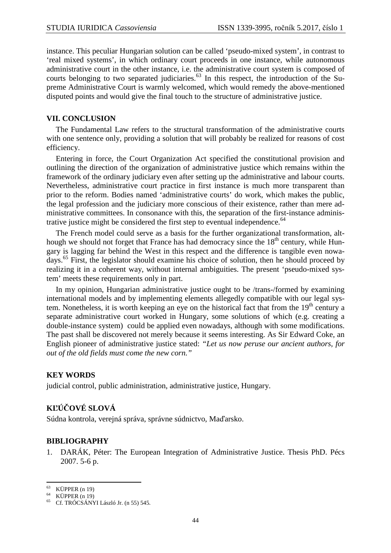instance. This peculiar Hungarian solution can be called 'pseudo-mixed system', in contrast to 'real mixed systems', in which ordinary court proceeds in one instance, while autonomous administrative court in the other instance, i.e. the administrative court system is composed of courts belonging to two separated judiciaries.<sup>63</sup> In this respect, the introduction of the Supreme Administrative Court is warmly welcomed, which would remedy the above-mentioned disputed points and would give the final touch to the structure of administrative justice.

### **VII. CONCLUSION**

The Fundamental Law refers to the structural transformation of the administrative courts with one sentence only, providing a solution that will probably be realized for reasons of cost efficiency.

Entering in force, the Court Organization Act specified the constitutional provision and outlining the direction of the organization of administrative justice which remains within the framework of the ordinary judiciary even after setting up the administrative and labour courts. Nevertheless, administrative court practice in first instance is much more transparent than prior to the reform. Bodies named 'administrative courts' do work, which makes the public, the legal profession and the judiciary more conscious of their existence, rather than mere administrative committees. In consonance with this, the separation of the first-instance administrative justice might be considered the first step to eventual independence.<sup>64</sup>

The French model could serve as a basis for the further organizational transformation, although we should not forget that France has had democracy since the  $18<sup>th</sup>$  century, while Hungary is lagging far behind the West in this respect and the difference is tangible even nowadays.<sup>65</sup> First, the legislator should examine his choice of solution, then he should proceed by realizing it in a coherent way, without internal ambiguities. The present 'pseudo-mixed system' meets these requirements only in part.

In my opinion, Hungarian administrative justice ought to be /trans-/formed by examining international models and by implementing elements allegedly compatible with our legal system. Nonetheless, it is worth keeping an eye on the historical fact that from the  $19<sup>th</sup>$  century a separate administrative court worked in Hungary, some solutions of which (e.g. creating a double-instance system) could be applied even nowadays, although with some modifications. The past shall be discovered not merely because it seems interesting. As Sir Edward Coke, an English pioneer of administrative justice stated: *"Let us now peruse our ancient authors, for out of the old fields must come the new corn."* 

## **KEY WORDS**

judicial control, public administration, administrative justice, Hungary.

# **KĽÚČOVÉ SLOVÁ**

Súdna kontrola, verejná správa, správne súdnictvo, Maďarsko.

## **BIBLIOGRAPHY**

1. DARÁK, Péter: The European Integration of Administrative Justice. Thesis PhD. Pécs 2007. 5-6 p.

 $\overline{a}$  $63$  KÜPPER (n 19)

<sup>64</sup> KÜPPER (n 19)

<sup>65</sup> Cf. TRÓCSÁNYI László Jr. (n 55) 545.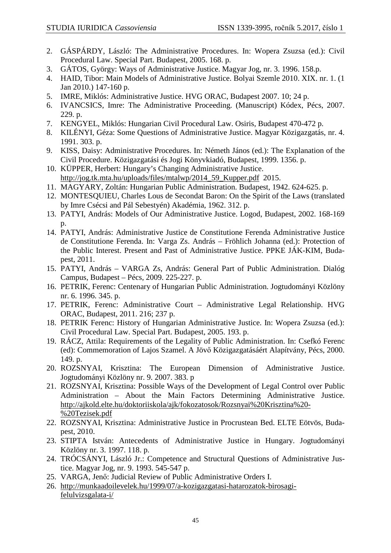- 2. GÁSPÁRDY, László: The Administrative Procedures. In: Wopera Zsuzsa (ed.): Civil Procedural Law. Special Part. Budapest, 2005. 168. p.
- 3. GÁTOS, György: Ways of Administrative Justice. Magyar Jog, nr. 3. 1996. 158.p.
- 4. HAID, Tibor: Main Models of Administrative Justice. Bolyai Szemle 2010. XIX. nr. 1. (1 Jan 2010.) 147-160 p.
- 5. IMRE, Miklós: Administrative Justice. HVG ORAC, Budapest 2007. 10; 24 p.
- 6. IVANCSICS, Imre: The Administrative Proceeding. (Manuscript) Kódex, Pécs, 2007. 229. p.
- 7. KENGYEL, Miklós: Hungarian Civil Procedural Law. Osiris, Budapest 470-472 p.
- 8. KILÉNYI, Géza: Some Questions of Administrative Justice. Magyar Közigazgatás, nr. 4. 1991. 303. p.
- 9. KISS, Daisy: Administrative Procedures. In: Németh János (ed.): The Explanation of the Civil Procedure. Közigazgatási és Jogi Könyvkiadó, Budapest, 1999. 1356. p.
- 10. KÜPPER, Herbert: Hungary's Changing Administrative Justice. http://jog.tk.mta.hu/uploads/files/mtalwp/2014\_59\_Kupper.pdf 2015.
- 11. MAGYARY, Zoltán: Hungarian Public Administration. Budapest, 1942. 624-625. p.
- 12. MONTESQUIEU, Charles Lous de Secondat Baron: On the Spirit of the Laws (translated by Imre Csécsi and Pál Sebestyén) Akadémia, 1962. 312. p.
- 13. PATYI, András: Models of Our Administrative Justice. Logod, Budapest, 2002. 168-169 p.
- 14. PATYI, András: Administrative Justice de Constitutione Ferenda Administrative Justice de Constitutione Ferenda. In: Varga Zs. András – Fröhlich Johanna (ed.): Protection of the Public Interest. Present and Past of Administrative Justice. PPKE JÁK-KIM, Budapest, 2011.
- 15. PATYI, András VARGA Zs, András: General Part of Public Administration. Dialóg Campus, Budapest – Pécs, 2009. 225-227. p.
- 16. PETRIK, Ferenc: Centenary of Hungarian Public Administration. Jogtudományi Közlöny nr. 6. 1996. 345. p.
- 17. PETRIK, Ferenc: Administrative Court Administrative Legal Relationship. HVG ORAC, Budapest, 2011. 216; 237 p.
- 18. PETRIK Ferenc: History of Hungarian Administrative Justice. In: Wopera Zsuzsa (ed.): Civil Procedural Law. Special Part. Budapest, 2005. 193. p.
- 19. RÁCZ, Attila: Requirements of the Legality of Public Administration. In: Csefkó Ferenc (ed): Commemoration of Lajos Szamel. A Jövő Közigazgatásáért Alapítvány, Pécs, 2000. 149. p.
- 20. ROZSNYAI, Krisztina: The European Dimension of Administrative Justice. Jogtudományi Közlöny nr. 9. 2007. 383. p
- 21. ROZSNYAI, Krisztina: Possible Ways of the Development of Legal Control over Public Administration – About the Main Factors Determining Administrative Justice. http://ajkold.elte.hu/doktoriiskola/ajk/fokozatosok/Rozsnyai%20Krisztina%20- %20Tezisek.pdf
- 22. ROZSNYAI, Krisztina: Administrative Justice in Procrustean Bed. ELTE Eötvös, Budapest, 2010.
- 23. STIPTA István: Antecedents of Administrative Justice in Hungary. Jogtudományi Közlöny nr. 3. 1997. 118. p.
- 24. TRÓCSÁNYI, László Jr.: Competence and Structural Questions of Administrative Justice. Magyar Jog, nr. 9. 1993. 545-547 p.
- 25. VARGA, Jenő: Judicial Review of Public Administrative Orders I.
- 26. http://munkaadoilevelek.hu/1999/07/a-kozigazgatasi-hatarozatok-birosagifelulvizsgalata-i/